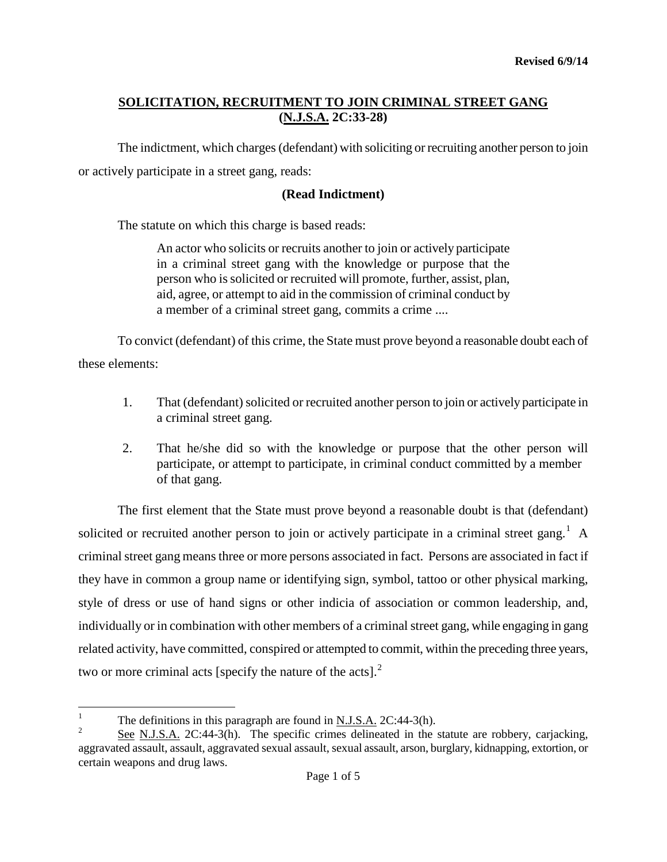The indictment, which charges (defendant) with soliciting or recruiting another person to join or actively participate in a street gang, reads:

## **(Read Indictment)**

The statute on which this charge is based reads:

An actor who solicits or recruits another to join or actively participate in a criminal street gang with the knowledge or purpose that the person who is solicited or recruited will promote, further, assist, plan, aid, agree, or attempt to aid in the commission of criminal conduct by a member of a criminal street gang, commits a crime ....

To convict (defendant) of this crime, the State must prove beyond a reasonable doubt each of these elements:

- 1. That (defendant) solicited or recruited another person to join or actively participate in a criminal street gang.
- 2. That he/she did so with the knowledge or purpose that the other person will participate, or attempt to participate, in criminal conduct committed by a member of that gang.

The first element that the State must prove beyond a reasonable doubt is that (defendant) solicited or recruited another person to join or actively participate in a criminal street gang.<sup>[1](#page-0-0)</sup> A criminal street gang means three or more persons associated in fact. Persons are associated in fact if they have in common a group name or identifying sign, symbol, tattoo or other physical marking, style of dress or use of hand signs or other indicia of association or common leadership, and, individually or in combination with other members of a criminal street gang, while engaging in gang related activity, have committed, conspired or attempted to commit, within the preceding three years, two or more criminal acts [specify the nature of the acts]. $<sup>2</sup>$  $<sup>2</sup>$  $<sup>2</sup>$ </sup>

<span id="page-0-0"></span><sup>&</sup>lt;sup>1</sup> The definitions in this paragraph are found in N.J.S.A.  $2C:44-3(h)$ .

<span id="page-0-1"></span><sup>2</sup> See N.J.S.A. 2C:44-3(h). The specific crimes delineated in the statute are robbery, carjacking, aggravated assault, assault, aggravated sexual assault, sexual assault, arson, burglary, kidnapping, extortion, or certain weapons and drug laws.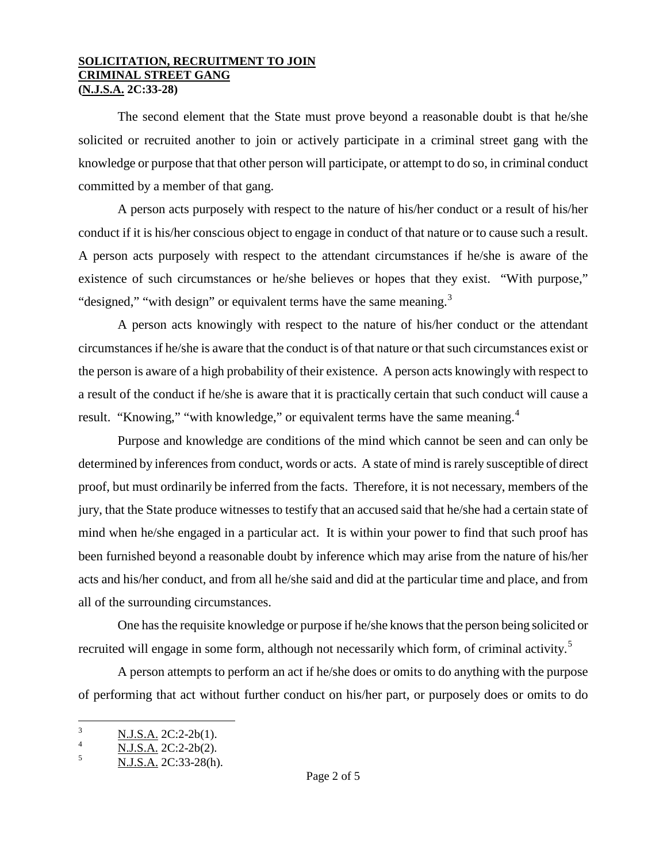The second element that the State must prove beyond a reasonable doubt is that he/she solicited or recruited another to join or actively participate in a criminal street gang with the knowledge or purpose that that other person will participate, or attempt to do so, in criminal conduct committed by a member of that gang.

A person acts purposely with respect to the nature of his/her conduct or a result of his/her conduct if it is his/her conscious object to engage in conduct of that nature or to cause such a result. A person acts purposely with respect to the attendant circumstances if he/she is aware of the existence of such circumstances or he/she believes or hopes that they exist. "With purpose," "designed," "with design" or equivalent terms have the same meaning. $3$ 

A person acts knowingly with respect to the nature of his/her conduct or the attendant circumstances if he/she is aware that the conduct is of that nature or that such circumstances exist or the person is aware of a high probability of their existence. A person acts knowingly with respect to a result of the conduct if he/she is aware that it is practically certain that such conduct will cause a result. "Knowing," "with knowledge," or equivalent terms have the same meaning.<sup>[4](#page-1-0)</sup>

Purpose and knowledge are conditions of the mind which cannot be seen and can only be determined by inferences from conduct, words or acts. A state of mind is rarely susceptible of direct proof, but must ordinarily be inferred from the facts. Therefore, it is not necessary, members of the jury, that the State produce witnesses to testify that an accused said that he/she had a certain state of mind when he/she engaged in a particular act. It is within your power to find that such proof has been furnished beyond a reasonable doubt by inference which may arise from the nature of his/her acts and his/her conduct, and from all he/she said and did at the particular time and place, and from all of the surrounding circumstances.

One has the requisite knowledge or purpose if he/she knows that the person being solicited or recruited will engage in some form, although not necessarily which form, of criminal activity.<sup>[5](#page-1-1)</sup>

A person attempts to perform an act if he/she does or omits to do anything with the purpose of performing that act without further conduct on his/her part, or purposely does or omits to do

<span id="page-1-0"></span> $\frac{N.J.S.A.}{N.J.S.A.}$  2C:2-2b(1).<br>  $\frac{N.J.S.A.}{N.J.S.A.}$  2C:2-2b(2).

<span id="page-1-1"></span><sup>5</sup> N.J.S.A. 2C:33-28(h).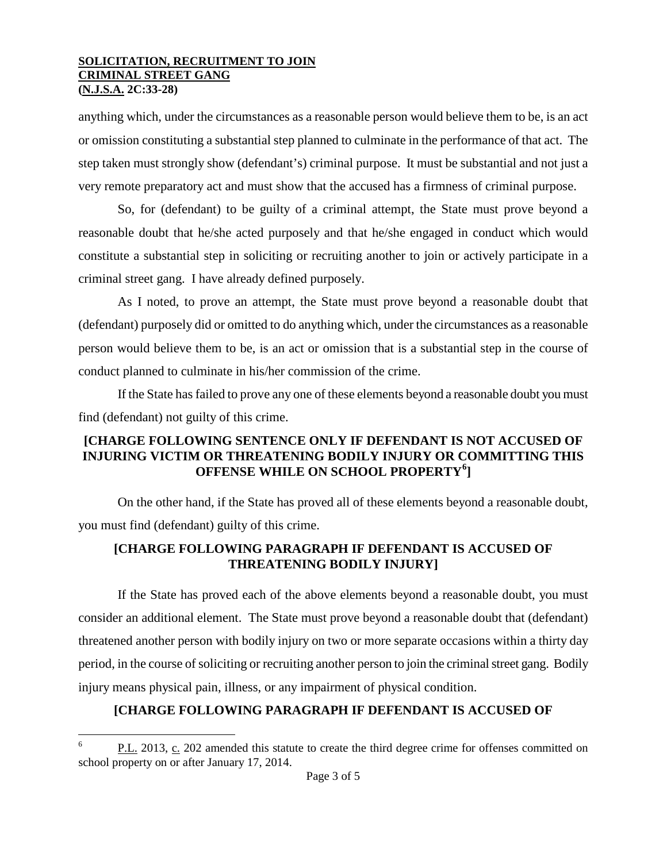anything which, under the circumstances as a reasonable person would believe them to be, is an act or omission constituting a substantial step planned to culminate in the performance of that act. The step taken must strongly show (defendant's) criminal purpose. It must be substantial and not just a very remote preparatory act and must show that the accused has a firmness of criminal purpose.

So, for (defendant) to be guilty of a criminal attempt, the State must prove beyond a reasonable doubt that he/she acted purposely and that he/she engaged in conduct which would constitute a substantial step in soliciting or recruiting another to join or actively participate in a criminal street gang. I have already defined purposely.

As I noted, to prove an attempt, the State must prove beyond a reasonable doubt that (defendant) purposely did or omitted to do anything which, under the circumstances as a reasonable person would believe them to be, is an act or omission that is a substantial step in the course of conduct planned to culminate in his/her commission of the crime.

If the State has failed to prove any one of these elements beyond a reasonable doubt you must find (defendant) not guilty of this crime.

## **[CHARGE FOLLOWING SENTENCE ONLY IF DEFENDANT IS NOT ACCUSED OF INJURING VICTIM OR THREATENING BODILY INJURY OR COMMITTING THIS OFFENSE WHILE ON SCHOOL PROPERTY[6](#page-1-0) ]**

On the other hand, if the State has proved all of these elements beyond a reasonable doubt, you must find (defendant) guilty of this crime.

## **[CHARGE FOLLOWING PARAGRAPH IF DEFENDANT IS ACCUSED OF THREATENING BODILY INJURY]**

<span id="page-2-0"></span>If the State has proved each of the above elements beyond a reasonable doubt, you must consider an additional element. The State must prove beyond a reasonable doubt that (defendant) threatened another person with bodily injury on two or more separate occasions within a thirty day period, in the course of soliciting or recruiting another person to join the criminal street gang. Bodily injury means physical pain, illness, or any impairment of physical condition.

# **[CHARGE FOLLOWING PARAGRAPH IF DEFENDANT IS ACCUSED OF**

P.L. 2013, c. 202 amended this statute to create the third degree crime for offenses committed on school property on or after January 17, 2014.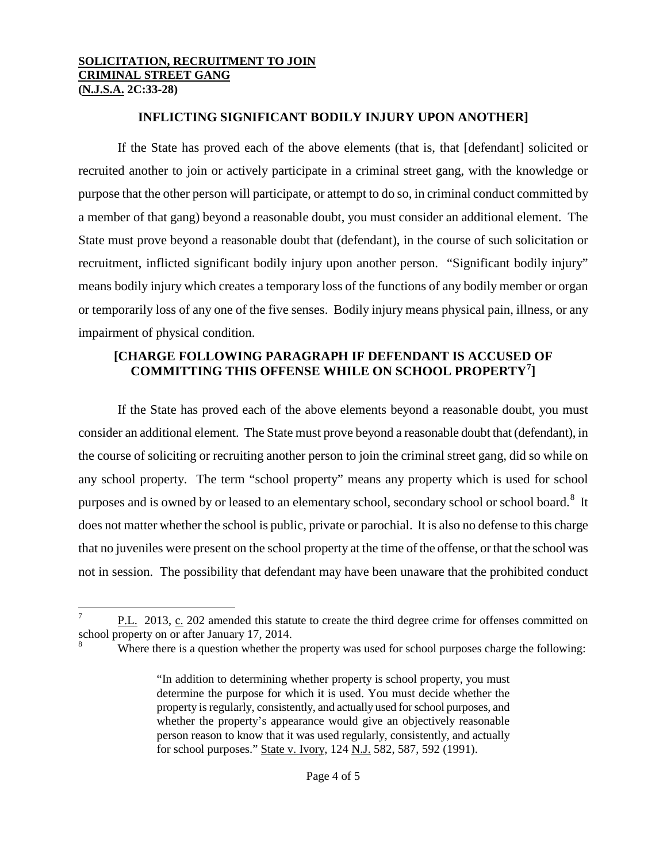## **INFLICTING SIGNIFICANT BODILY INJURY UPON ANOTHER]**

If the State has proved each of the above elements (that is, that [defendant] solicited or recruited another to join or actively participate in a criminal street gang, with the knowledge or purpose that the other person will participate, or attempt to do so, in criminal conduct committed by a member of that gang) beyond a reasonable doubt, you must consider an additional element. The State must prove beyond a reasonable doubt that (defendant), in the course of such solicitation or recruitment, inflicted significant bodily injury upon another person. "Significant bodily injury" means bodily injury which creates a temporary loss of the functions of any bodily member or organ or temporarily loss of any one of the five senses. Bodily injury means physical pain, illness, or any impairment of physical condition.

## **[CHARGE FOLLOWING PARAGRAPH IF DEFENDANT IS ACCUSED OF COMMITTING THIS OFFENSE WHILE ON SCHOOL PROPERTY[7](#page-2-0) ]**

If the State has proved each of the above elements beyond a reasonable doubt, you must consider an additional element. The State must prove beyond a reasonable doubt that (defendant), in the course of soliciting or recruiting another person to join the criminal street gang, did so while on any school property. The term "school property" means any property which is used for school purposes and is owned by or leased to an elementary school, secondary school or school board.<sup>[8](#page-3-0)</sup> It does not matter whether the school is public, private or parochial. It is also no defense to this charge that no juveniles were present on the school property at the time of the offense, or that the school was not in session. The possibility that defendant may have been unaware that the prohibited conduct

<span id="page-3-0"></span> $P.L.$  2013,  $C.$  202 amended this statute to create the third degree crime for offenses committed on school property on or after January 17, 2014.

Where there is a question whether the property was used for school purposes charge the following:

<sup>&</sup>quot;In addition to determining whether property is school property, you must determine the purpose for which it is used. You must decide whether the property is regularly, consistently, and actually used for school purposes, and whether the property's appearance would give an objectively reasonable person reason to know that it was used regularly, consistently, and actually for school purposes." State v. Ivory, 124 N.J. 582, 587, 592 (1991).